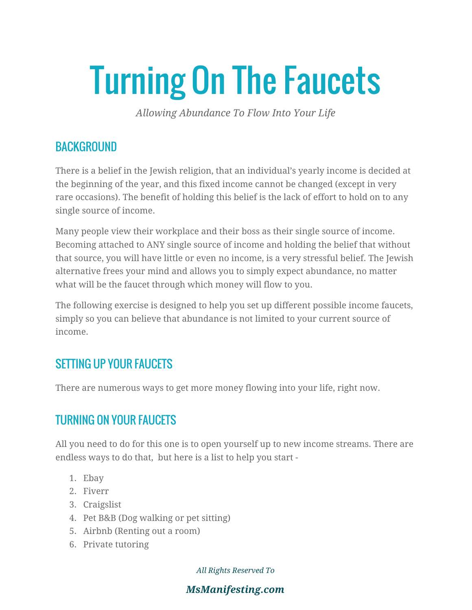# Turning On The Faucets

*Allowing Abundance To Flow Into Your Life*

#### **BACKGROUND**

There is a belief in the Jewish religion, that an individual's yearly income is decided at the beginning of the year, and this fixed income cannot be changed (except in very rare occasions). The benefit of holding this belief is the lack of effort to hold on to any single source of income.

Many people view their workplace and their boss as their single source of income. Becoming attached to ANY single source of income and holding the belief that without that source, you will have little or even no income, is a very stressful belief. The Jewish alternative frees your mind and allows you to simply expect abundance, no matter what will be the faucet through which money will flow to you.

The following exercise is designed to help you set up different possible income faucets, simply so you can believe that abundance is not limited to your current source of income.

#### SETTING UP YOUR FAUCETS

There are numerous ways to get more money flowing into your life, right now.

## TURNING ON YOUR FAUCETS

All you need to do for this one is to open yourself up to new income streams. There are endless ways to do that, but here is a list to help you start -

- 1. Ebay
- 2. Fiverr
- 3. Craigslist
- 4. Pet B&B (Dog walking or pet sitting)
- 5. Airbnb (Renting out a room)
- 6. Private tutoring

*All Rights Reserved To*

*MsManifesting.com*